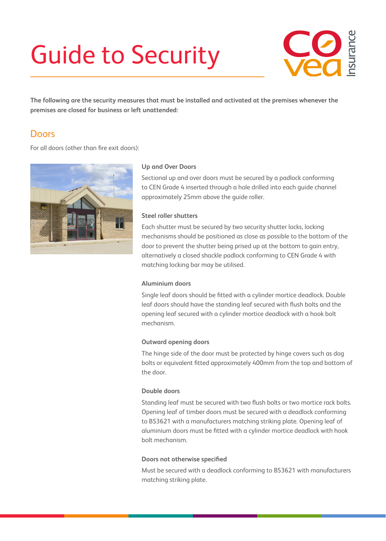# Guide to Security



**The following are the security measures that must be installed and activated at the premises whenever the premises are closed for business or left unattended:**

### **Doors**

For all doors (other than fire exit doors):



#### **Up and Over Doors**

Sectional up and over doors must be secured by a padlock conforming to CEN Grade 4 inserted through a hole drilled into each guide channel approximately 25mm above the guide roller.

#### **Steel roller shutters**

Each shutter must be secured by two security shutter locks, locking mechanisms should be positioned as close as possible to the bottom of the door to prevent the shutter being prised up at the bottom to gain entry, alternatively a closed shackle padlock conforming to CEN Grade 4 with matching locking bar may be utilised.

#### **Aluminium doors**

Single leaf doors should be fitted with a cylinder mortice deadlock. Double leaf doors should have the standing leaf secured with flush bolts and the opening leaf secured with a cylinder mortice deadlock with a hook bolt mechanism.

#### **Outward opening doors**

The hinge side of the door must be protected by hinge covers such as dog bolts or equivalent fitted approximately 400mm from the top and bottom of the door.

#### **Double doors**

Standing leaf must be secured with two flush bolts or two mortice rack bolts. Opening leaf of timber doors must be secured with a deadlock conforming to BS3621 with a manufacturers matching striking plate. Opening leaf of aluminium doors must be fitted with a cylinder mortice deadlock with hook bolt mechanism.

#### **Doors not otherwise specified**

Must be secured with a deadlock conforming to BS3621 with manufacturers matching striking plate.